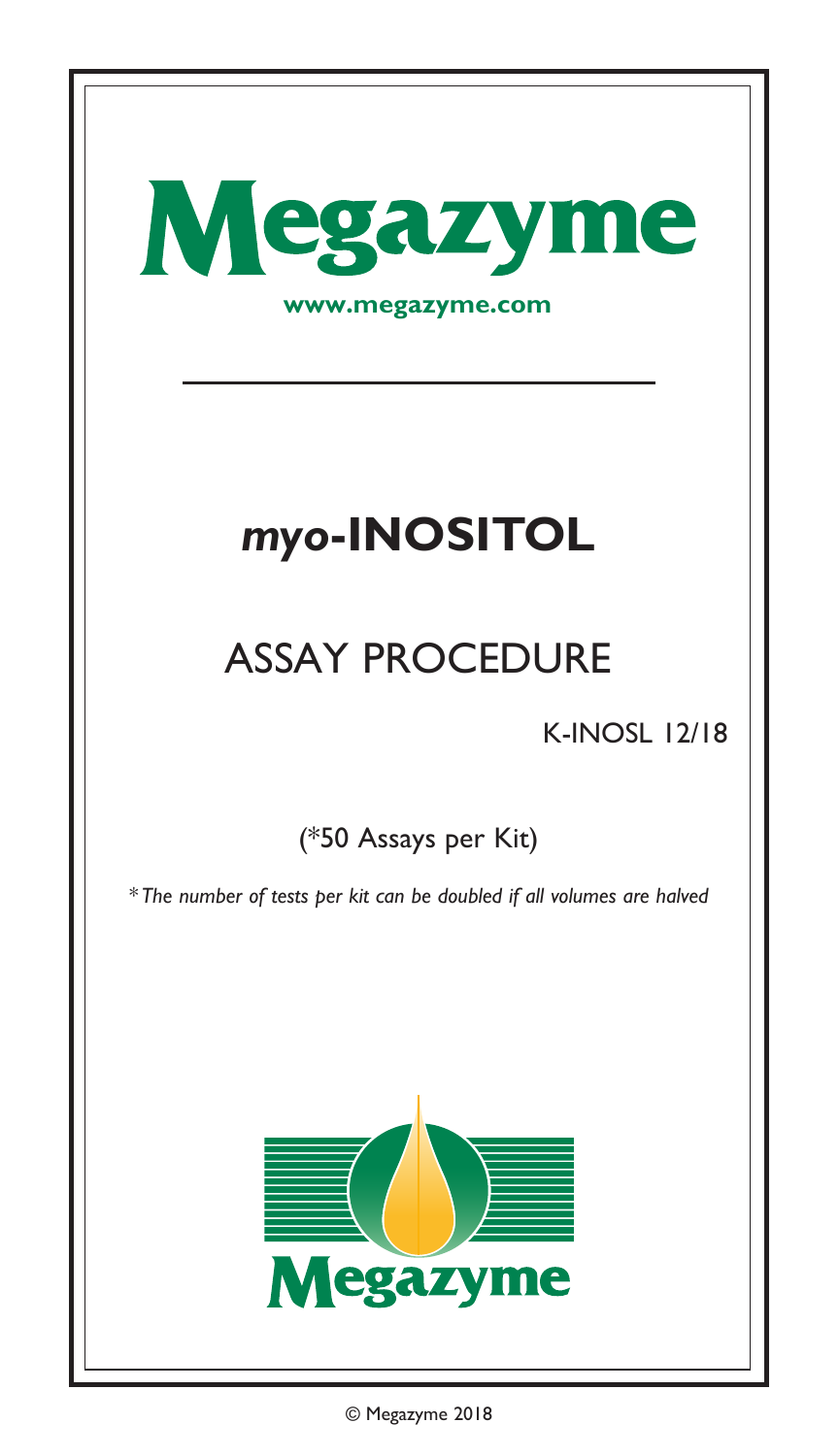

© Megazyme 2018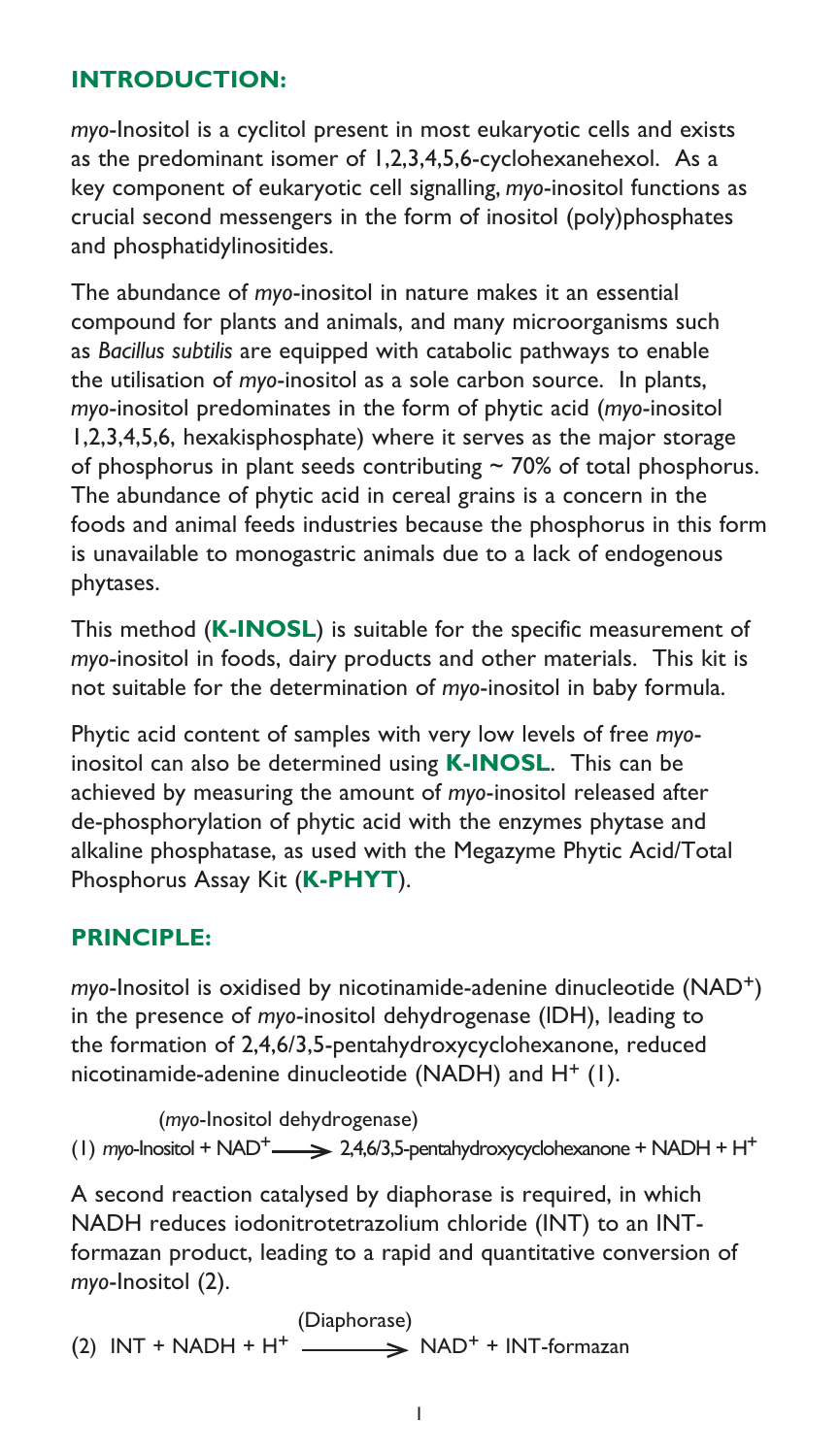## **INTRODUCTION:**

*myo*-Inositol is a cyclitol present in most eukaryotic cells and exists as the predominant isomer of 1,2,3,4,5,6-cyclohexanehexol. As a key component of eukaryotic cell signalling, *myo*-inositol functions as crucial second messengers in the form of inositol (poly)phosphates and phosphatidylinositides.

The abundance of *myo*-inositol in nature makes it an essential compound for plants and animals, and many microorganisms such as *Bacillus subtilis* are equipped with catabolic pathways to enable the utilisation of *myo*-inositol as a sole carbon source. In plants, *myo*-inositol predominates in the form of phytic acid (*myo*-inositol 1,2,3,4,5,6, hexakisphosphate) where it serves as the major storage of phosphorus in plant seeds contributing  $\sim$  70% of total phosphorus. The abundance of phytic acid in cereal grains is a concern in the foods and animal feeds industries because the phosphorus in this form is unavailable to monogastric animals due to a lack of endogenous phytases.

This method (**[K-INOSL](https://www.megazyme.com/myo-inositol-assay-kit)**) is suitable for the specific measurement of *myo*-inositol in foods, dairy products and other materials. This kit is not suitable for the determination of *myo*-inositol in baby formula.

Phytic acid content of samples with very low levels of free *myo*inositol can also be determined using **[K-INOSL](https://www.megazyme.com/myo-inositol-assay-kit)**. This can be achieved by measuring the amount of *myo*-inositol released after de-phosphorylation of phytic acid with the enzymes phytase and alkaline phosphatase, as used with the Megazyme Phytic Acid/Total Phosphorus Assay Kit (**[K-PHYT](https://www.megazyme.com/phytic-acid-assay-kit)**).

#### **PRINCIPLE:**

*myo*-Inositol is oxidised by nicotinamide-adenine dinucleotide (NAD+) in the presence of *myo*-inositol dehydrogenase (lDH), leading to the formation of 2,4,6/3,5-pentahydroxycyclohexanone, reduced nicotinamide-adenine dinucleotide (NADH) and  $H^+$  (1).

(*myo*-Inositol dehydrogenase) (1) *myo*-Inositol + NAD<sup>+</sup>  $\longrightarrow$  2,4,6/3,5-pentahydroxycyclohexanone + NADH + H<sup>+</sup>

A second reaction catalysed by diaphorase is required, in which NADH reduces iodonitrotetrazolium chloride (INT) to an INTformazan product, leading to a rapid and quantitative conversion of *myo*-Inositol (2).

 (Diaphorase) (2)  $INT + NADH + H^+$   $\longrightarrow$   $NAD^+ + INT-formazan$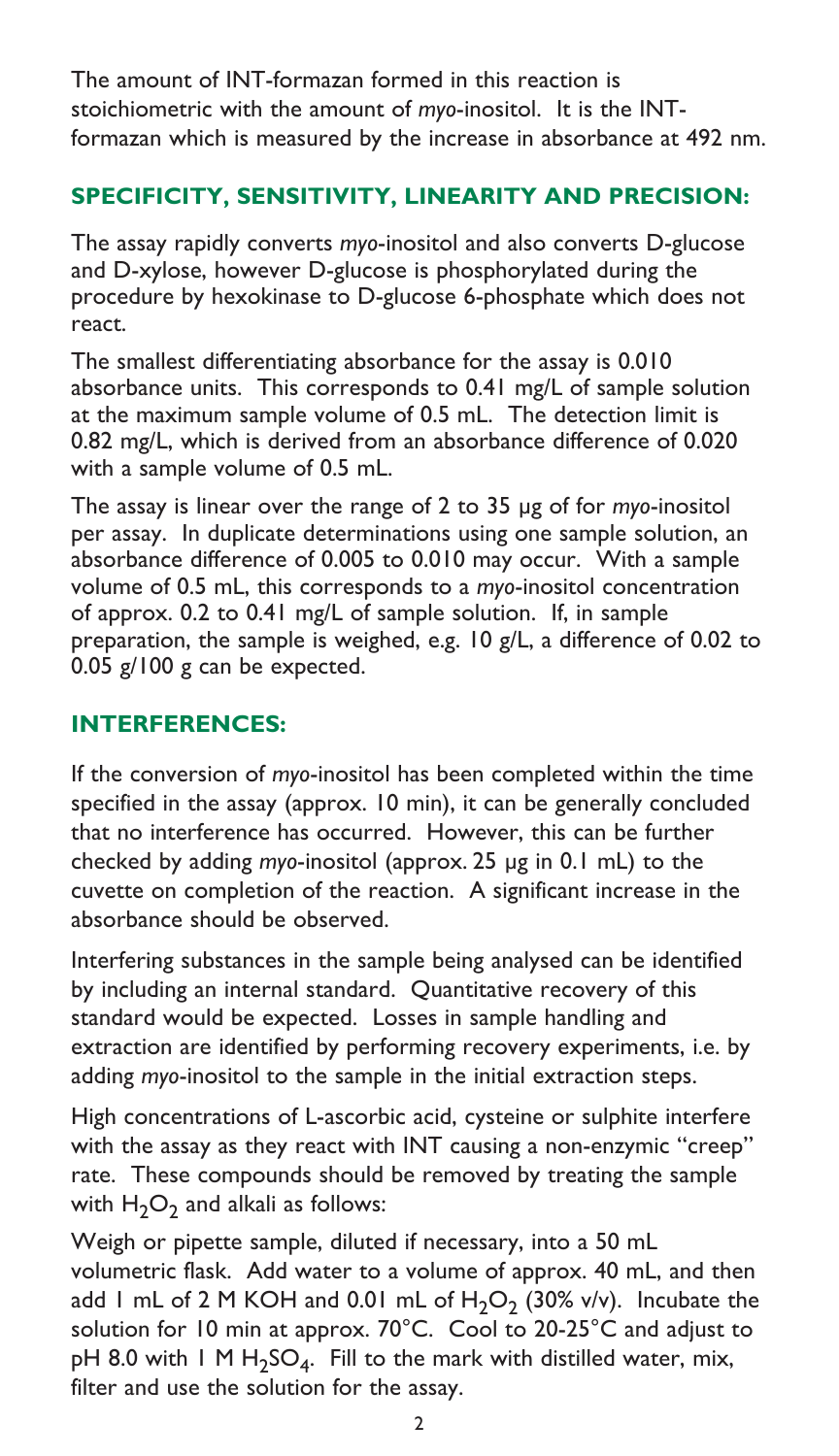The amount of INT-formazan formed in this reaction is stoichiometric with the amount of *myo*-inositol. It is the INTformazan which is measured by the increase in absorbance at 492 nm.

# **SPECIFICITY, SENSITIVITY, LINEARITY AND PRECISION:**

The assay rapidly converts *myo*-inositol and also converts D-glucose and D-xylose, however D-glucose is phosphorylated during the procedure by hexokinase to D-glucose 6-phosphate which does not react.

The smallest differentiating absorbance for the assay is 0.010 absorbance units. This corresponds to 0.41 mg/L of sample solution at the maximum sample volume of 0.5 mL. The detection limit is 0.82 mg/L, which is derived from an absorbance difference of 0.020 with a sample volume of 0.5 mL.

The assay is linear over the range of 2 to 35 µg of for *myo*-inositol per assay. In duplicate determinations using one sample solution, an absorbance difference of 0.005 to 0.010 may occur. With a sample volume of 0.5 mL, this corresponds to a *myo*-inositol concentration of approx. 0.2 to 0.41 mg/L of sample solution. If, in sample preparation, the sample is weighed, e.g. 10 g/L, a difference of 0.02 to 0.05 g/100 g can be expected.

# **INTERFERENCES:**

If the conversion of *myo*-inositol has been completed within the time specified in the assay (approx. 10 min), it can be generally concluded that no interference has occurred. However, this can be further checked by adding *myo*-inositol (approx. 25 µg in 0.1 mL) to the cuvette on completion of the reaction. A significant increase in the absorbance should be observed.

Interfering substances in the sample being analysed can be identified by including an internal standard. Quantitative recovery of this standard would be expected. Losses in sample handling and extraction are identified by performing recovery experiments, i.e. by adding *myo*-inositol to the sample in the initial extraction steps.

High concentrations of L-ascorbic acid, cysteine or sulphite interfere with the assay as they react with INT causing a non-enzymic "creep" rate. These compounds should be removed by treating the sample with  $H_2O_2$  and alkali as follows:

Weigh or pipette sample, diluted if necessary, into a 50 mL volumetric flask. Add water to a volume of approx. 40 mL, and then add 1 mL of 2 M KOH and 0.01 mL of  $H_2O_2$  (30% v/v). Incubate the solution for 10 min at approx. 70°C. Cool to 20-25°C and adjust to pH 8.0 with 1 M  $H_2SO_4$ . Fill to the mark with distilled water, mix, filter and use the solution for the assay.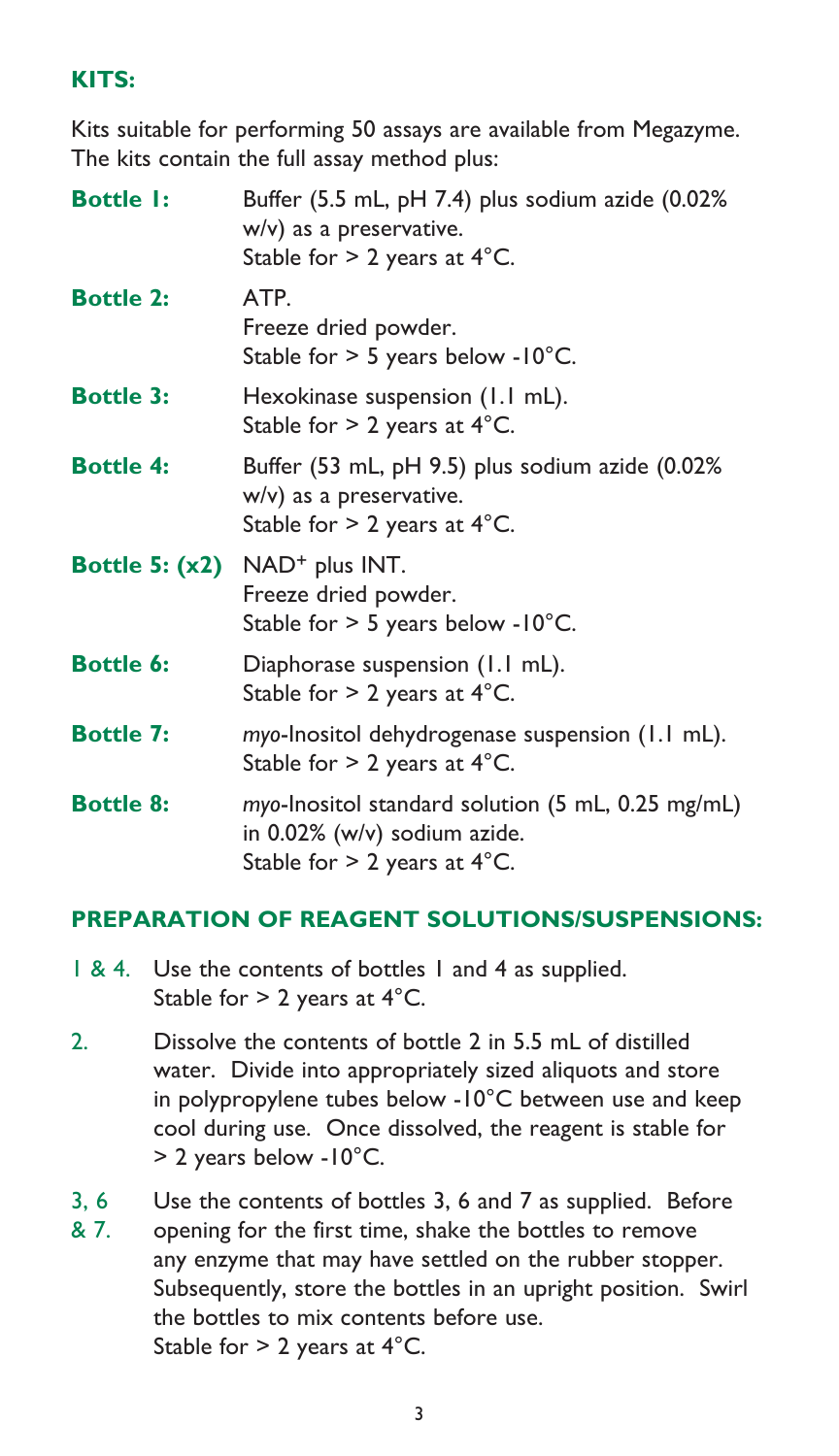# **KITS:**

Kits suitable for performing 50 assays are available from Megazyme. The kits contain the full assay method plus:

| <b>Bottle I:</b> | Buffer (5.5 mL, pH 7.4) plus sodium azide (0.02%<br>w/v) as a preservative.<br>Stable for $> 2$ years at 4°C.       |
|------------------|---------------------------------------------------------------------------------------------------------------------|
| <b>Bottle 2:</b> | ATP.<br>Freeze dried powder.<br>Stable for $> 5$ years below -10°C.                                                 |
| <b>Bottle 3:</b> | Hexokinase suspension (1.1 mL).<br>Stable for $> 2$ years at 4°C.                                                   |
| <b>Bottle 4:</b> | Buffer (53 mL, pH 9.5) plus sodium azide (0.02%<br>w/v) as a preservative.<br>Stable for $> 2$ years at 4°C.        |
|                  | Bottle 5: (x2) NAD <sup>+</sup> plus INT.<br>Freeze dried powder.<br>Stable for $>$ 5 years below -10°C.            |
| <b>Bottle 6:</b> | Diaphorase suspension (1.1 mL).<br>Stable for $> 2$ years at 4°C.                                                   |
| <b>Bottle 7:</b> | myo-Inositol dehydrogenase suspension (1.1 mL).<br>Stable for $> 2$ years at 4°C.                                   |
| <b>Bottle 8:</b> | myo-Inositol standard solution (5 mL, 0.25 mg/mL)<br>in 0.02% (w/v) sodium azide.<br>Stable for $> 2$ years at 4°C. |

## **PREPARATION OF REAGENT SOLUTIONS/SUSPENSIONS:**

- 1 & 4. Use the contents of bottles 1 and 4 as supplied. Stable for  $> 2$  years at  $4^{\circ}$ C.
- 2. Dissolve the contents of bottle 2 in 5.5 mL of distilled water. Divide into appropriately sized aliquots and store in polypropylene tubes below -10°C between use and keep cool during use. Once dissolved, the reagent is stable for > 2 years below -10°C.
- 3, 6 Use the contents of bottles 3, 6 and 7 as supplied. Before & 7. opening for the first time, shake the bottles to remove any enzyme that may have settled on the rubber stopper. Subsequently, store the bottles in an upright position. Swirl the bottles to mix contents before use. Stable for > 2 years at 4°C.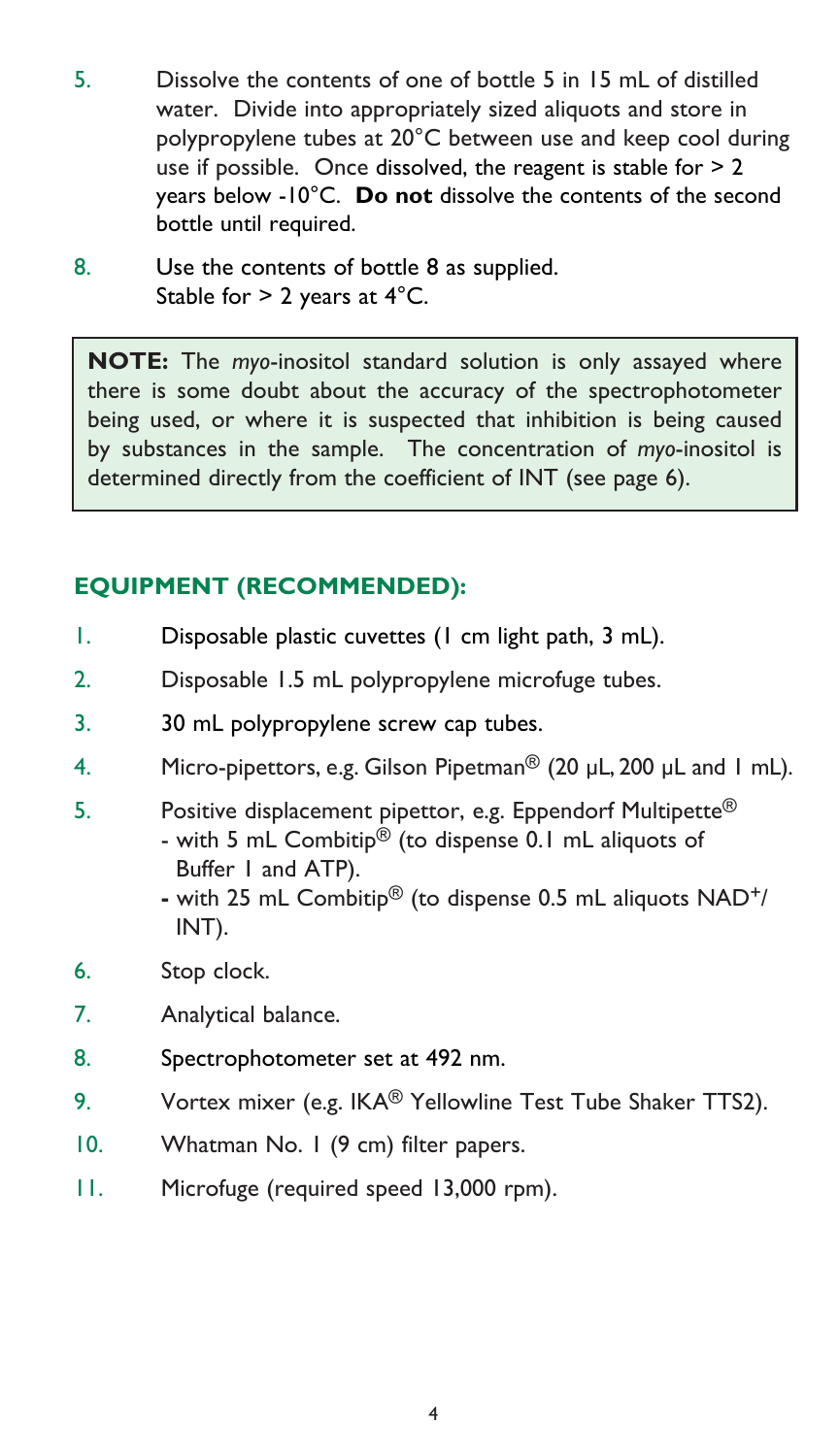- 5. Dissolve the contents of one of bottle 5 in 15 mL of distilled water. Divide into appropriately sized aliquots and store in polypropylene tubes at 20°C between use and keep cool during use if possible. Once dissolved, the reagent is stable for > 2 years below -10°C. **Do not** dissolve the contents of the second bottle until required.
- 8. Use the contents of bottle 8 as supplied. Stable for > 2 years at 4°C.

**NOTE:** The *myo*-inositol standard solution is only assayed where there is some doubt about the accuracy of the spectrophotometer being used, or where it is suspected that inhibition is being caused by substances in the sample. The concentration of *myo*-inositol is determined directly from the coefficient of INT (see page 6).

# **EQUIPMENT (RECOMMENDED):**

- 1. Disposable plastic cuvettes (1 cm light path, 3 mL).
- 2. Disposable 1.5 mL polypropylene microfuge tubes.
- 3. 30 mL polypropylene screw cap tubes.
- 4. Micro-pipettors, e.g. Gilson Pipetman<sup>®</sup> (20 µL, 200 µL and 1 mL).
- 5. Positive displacement pipettor, e.g. Eppendorf Multipette<sup>®</sup> - with 5 mL Combitip® (to dispense 0.1 mL aliquots of Buffer 1 and ATP).
	- with 25 mL Combitip® (to dispense 0.5 mL aliquots NAD+/ INT).
- 6. Stop clock.
- 7. Analytical balance.
- 8. Spectrophotometer set at 492 nm.
- 9. Vortex mixer (e.g. IKA® Yellowline Test Tube Shaker TTS2).
- 10. Whatman No. 1 (9 cm) filter papers.
- 11. Microfuge (required speed 13,000 rpm).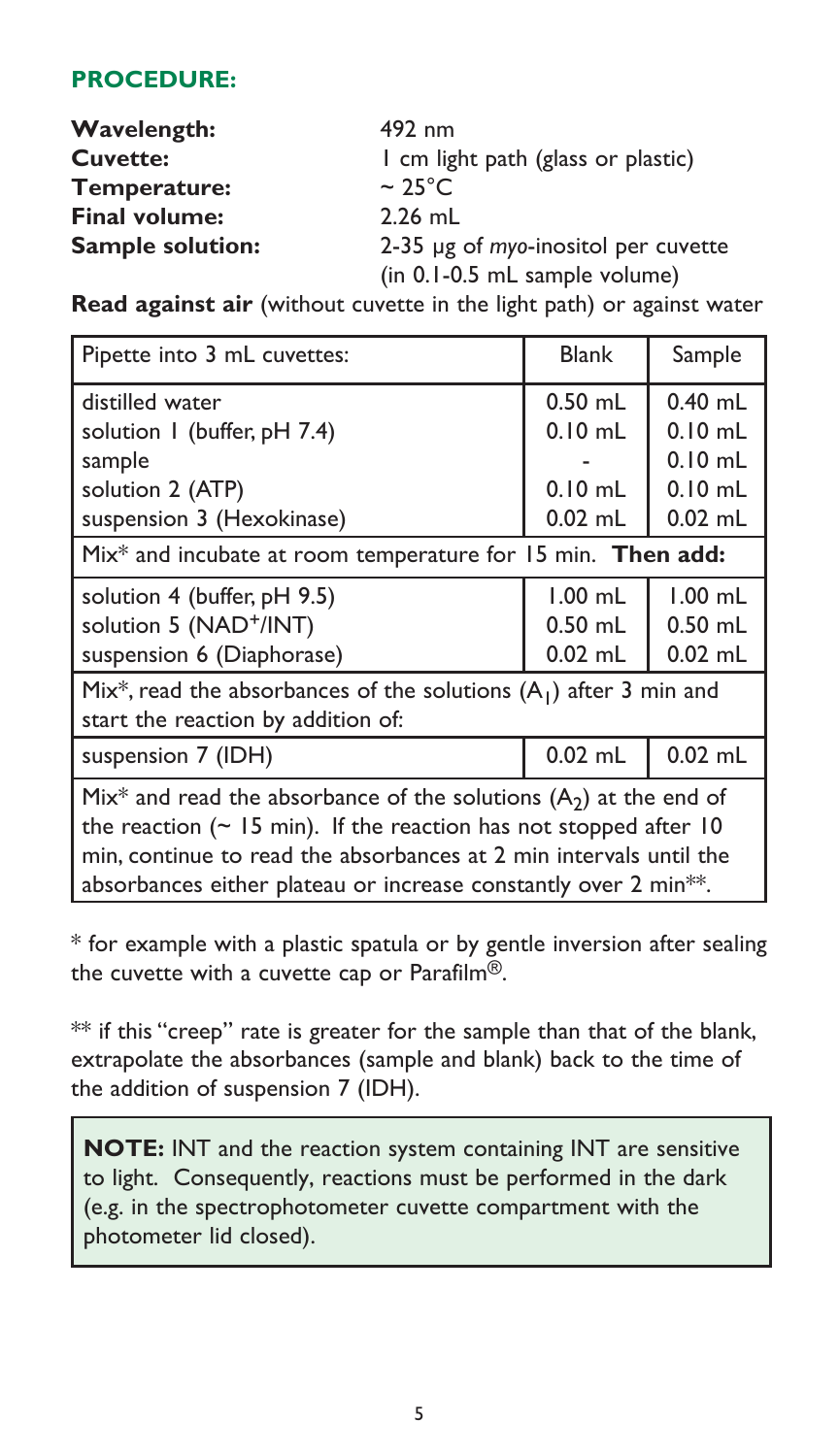## **PROCEDURE:**

| <b>Wavelength:</b>      | 492 nm                              |  |
|-------------------------|-------------------------------------|--|
| <b>Cuvette:</b>         | I cm light path (glass or plastic)  |  |
| Temperature:            | $\sim$ 25°C.                        |  |
| <b>Final volume:</b>    | $2.26$ mL                           |  |
| <b>Sample solution:</b> | 2-35 µg of myo-inositol per cuvette |  |
|                         | (in 0.1-0.5 mL sample volume)       |  |

**Read against air** (without cuvette in the light path) or against water

| Pipette into 3 mL cuvettes:                                                                                                                                                                                                                                                                                      | <b>Blank</b>                                     | Sample                                                        |  |  |
|------------------------------------------------------------------------------------------------------------------------------------------------------------------------------------------------------------------------------------------------------------------------------------------------------------------|--------------------------------------------------|---------------------------------------------------------------|--|--|
| distilled water<br>solution I (buffer, pH 7.4)<br>sample<br>solution 2 (ATP)<br>suspension 3 (Hexokinase)                                                                                                                                                                                                        | $0.50$ mL<br>$0.10$ mL<br>$0.10$ mL<br>$0.02$ mL | $0.40$ mL<br>$0.10$ mL<br>$0.10$ mL<br>$0.10$ mL<br>$0.02$ mL |  |  |
| Mix* and incubate at room temperature for 15 min. Then add:                                                                                                                                                                                                                                                      |                                                  |                                                               |  |  |
| solution 4 (buffer, pH 9.5)<br>solution 5 (NAD <sup>+</sup> /INT)<br>suspension 6 (Diaphorase)                                                                                                                                                                                                                   | $1.00$ mL<br>$0.50$ mL<br>$0.02$ mL              | $1.00$ mL<br>$0.50$ mL<br>$0.02$ mL                           |  |  |
| Mix*, read the absorbances of the solutions $(A_1)$ after 3 min and<br>start the reaction by addition of:                                                                                                                                                                                                        |                                                  |                                                               |  |  |
| suspension 7 (IDH)                                                                                                                                                                                                                                                                                               | $0.02$ mL                                        | $0.02$ mL                                                     |  |  |
| Mix <sup>*</sup> and read the absorbance of the solutions $(A_2)$ at the end of<br>the reaction ( $\sim$ 15 min). If the reaction has not stopped after 10<br>min, continue to read the absorbances at 2 min intervals until the<br>absorbances either plateau or increase constantly over 2 min <sup>**</sup> . |                                                  |                                                               |  |  |

\* for example with a plastic spatula or by gentle inversion after sealing the cuvette with a cuvette cap or Parafilm®.

\*\* if this "creep" rate is greater for the sample than that of the blank, extrapolate the absorbances (sample and blank) back to the time of the addition of suspension 7 (IDH).

 **NOTE:** INT and the reaction system containing INT are sensitive to light. Consequently, reactions must be performed in the dark (e.g. in the spectrophotometer cuvette compartment with the photometer lid closed).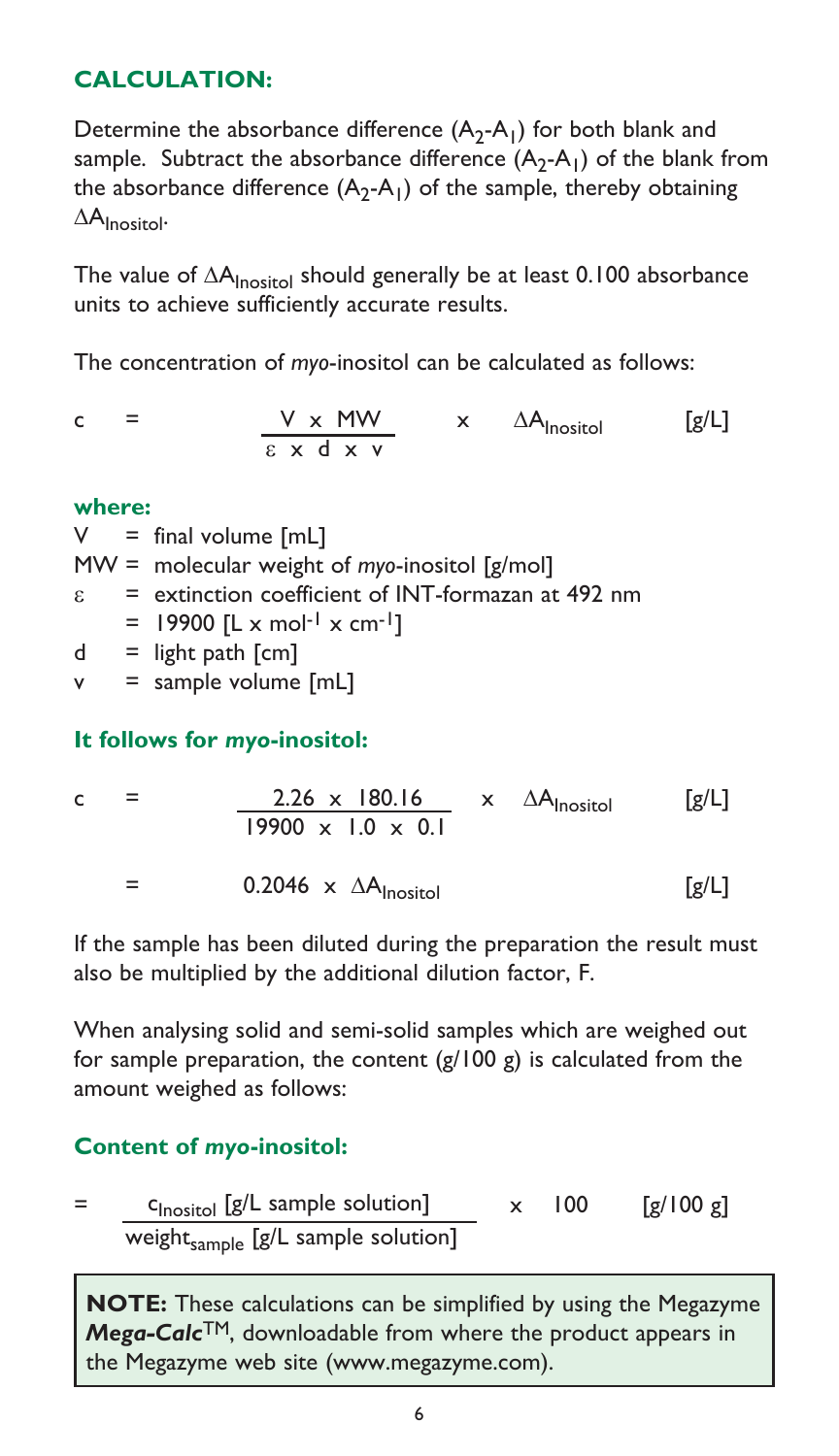## **CALCULATION:**

Determine the absorbance difference  $(A_2-A_1)$  for both blank and sample. Subtract the absorbance difference  $(A_2-A_1)$  of the blank from the absorbance difference  $(A_2-A_1)$  of the sample, thereby obtaining  $\Delta A$ Inositol.

The value of ∆A<sub>Inositol</sub> should generally be at least 0.100 absorbance units to achieve sufficiently accurate results.

The concentration of *myo*-inositol can be calculated as follows:

$$
c = \frac{V \times MW}{\epsilon \times d \times v} \times \Delta A_{\text{Inositol}} \quad [g/L]
$$

#### **where:**

 $V = final volume [mL]$ MW = molecular weight of *myo*-inositol [g/mol]

 $\epsilon$  = extinction coefficient of INT-formazan at 492 nm

- $=$  19900 [L x mol<sup>-1</sup> x cm<sup>-1</sup>]
- $d =$  light path  $\lceil$  cm $\rceil$

 $v =$  sample volume  $[mL]$ 

## **It follows for** *myo***-inositol:**

c = 
$$
\frac{2.26 \times 180.16}{19900 \times 1.0 \times 0.1}
$$
 x  $\Delta A_{\text{Inositol}}$  [g/L]  
= 0.2046 x  $\Delta A_{\text{Inositol}}$  [g/L]

If the sample has been diluted during the preparation the result must also be multiplied by the additional dilution factor, F.

When analysing solid and semi-solid samples which are weighed out for sample preparation, the content  $(g/100 g)$  is calculated from the amount weighed as follows:

# **Content of** *myo***-inositol:**

$$
= \frac{c_{\text{Inositol}} [g/L \text{ sample solution}]}{\text{weight}_{\text{sample}} [g/L \text{ sample solution}]} \times 100 \qquad [g/100 g]
$$

**NOTE:** These calculations can be simplified by using the Megazyme *Mega-Calc*TM, downloadable from where the product appears in the Megazyme web site [\(www.megazyme.com](http://www.megazyme.com)).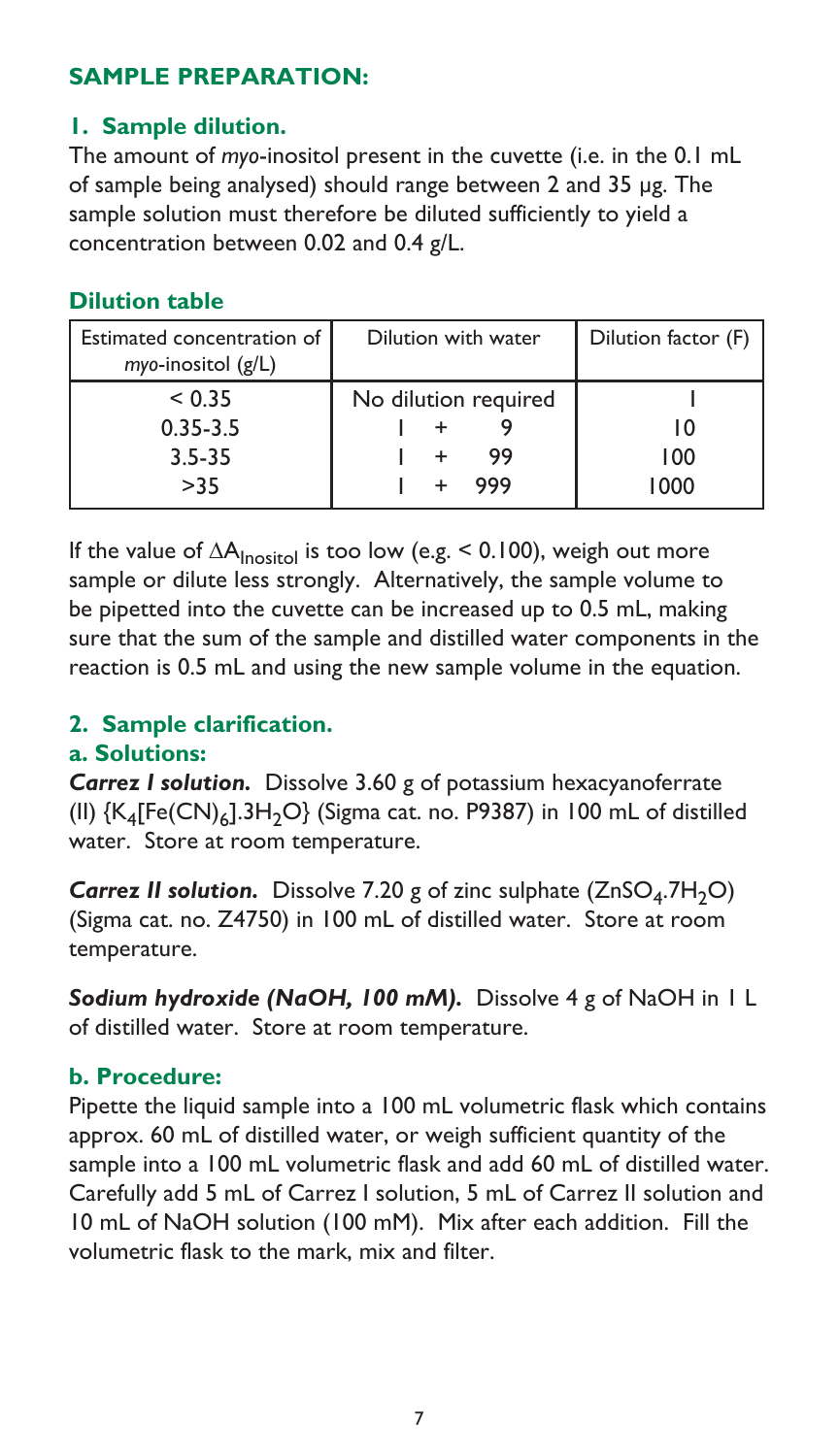## **SAMPLE PREPARATION:**

## **1. Sample dilution.**

The amount of *myo*-inositol present in the cuvette (i.e. in the 0.1 mL of sample being analysed) should range between 2 and 35 µg. The sample solution must therefore be diluted sufficiently to yield a concentration between 0.02 and 0.4 g/L.

## **Dilution table**

| Estimated concentration of<br>myo-inositol (g/L) | Dilution with water  | Dilution factor (F) |
|--------------------------------------------------|----------------------|---------------------|
| < 0.35                                           | No dilution required |                     |
| $0.35 - 3.5$                                     |                      |                     |
| $3.5 - 35$                                       | 99                   | 100                 |
| >35                                              | 999                  | 1000                |

If the value of ∆A<sub>Inosito</sub> is too low (e.g. < 0.100), weigh out more sample or dilute less strongly. Alternatively, the sample volume to be pipetted into the cuvette can be increased up to 0.5 mL, making sure that the sum of the sample and distilled water components in the reaction is 0.5 mL and using the new sample volume in the equation.

# **2. Sample clarification.**

#### **a. Solutions:**

*Carrez I solution.* Dissolve 3.60 g of potassium hexacyanoferrate (II)  ${K_4[Fe(CN)_6]}$ .3H<sub>2</sub>O} (Sigma cat. no. P9387) in 100 mL of distilled water. Store at room temperature.

*Carrez II solution.* Dissolve 7.20 g of zinc sulphate (ZnSO<sub>4</sub>.7H<sub>2</sub>O) (Sigma cat. no. Z4750) in 100 mL of distilled water. Store at room temperature.

*Sodium hydroxide (NaOH, 100 mM).* Dissolve 4 g of NaOH in 1 L of distilled water. Store at room temperature.

## **b. Procedure:**

Pipette the liquid sample into a 100 mL volumetric flask which contains approx. 60 mL of distilled water, or weigh sufficient quantity of the sample into a 100 mL volumetric flask and add 60 mL of distilled water. Carefully add 5 mL of Carrez I solution, 5 mL of Carrez II solution and 10 mL of NaOH solution (100 mM). Mix after each addition. Fill the volumetric flask to the mark, mix and filter.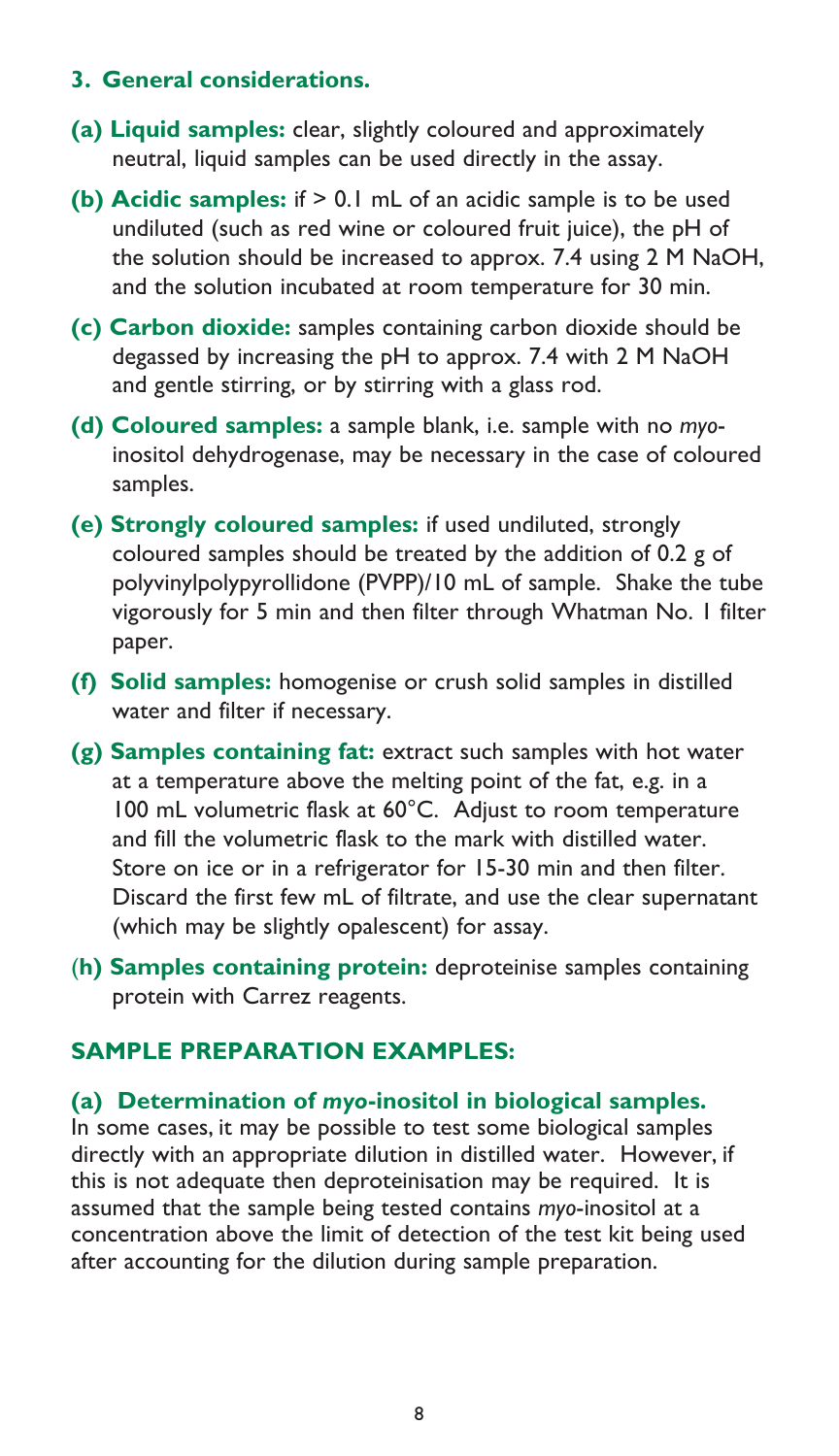#### **3. General considerations.**

- **(a) Liquid samples:** clear, slightly coloured and approximately neutral, liquid samples can be used directly in the assay.
- **(b) Acidic samples:** if > 0.1 mL of an acidic sample is to be used undiluted (such as red wine or coloured fruit juice), the pH of the solution should be increased to approx. 7.4 using 2 M NaOH, and the solution incubated at room temperature for 30 min.
- **(c) Carbon dioxide:** samples containing carbon dioxide should be degassed by increasing the pH to approx. 7.4 with 2 M NaOH and gentle stirring, or by stirring with a glass rod.
- **(d) Coloured samples:** a sample blank, i.e. sample with no *myo*inositol dehydrogenase, may be necessary in the case of coloured samples.
- **(e) Strongly coloured samples:** if used undiluted, strongly coloured samples should be treated by the addition of 0.2 g of polyvinylpolypyrollidone (PVPP)/10 mL of sample. Shake the tube vigorously for 5 min and then filter through Whatman No. 1 filter paper.
- **(f) Solid samples:** homogenise or crush solid samples in distilled water and filter if necessary.
- **(g) Samples containing fat:** extract such samples with hot water at a temperature above the melting point of the fat, e.g. in a 100 mL volumetric flask at 60°C. Adjust to room temperature and fill the volumetric flask to the mark with distilled water. Store on ice or in a refrigerator for 15-30 min and then filter. Discard the first few mL of filtrate, and use the clear supernatant (which may be slightly opalescent) for assay.
- (**h) Samples containing protein:** deproteinise samples containing protein with Carrez reagents.

## **SAMPLE PREPARATION EXAMPLES:**

#### **(a) Determination of** *myo***-inositol in biological samples.**

In some cases, it may be possible to test some biological samples directly with an appropriate dilution in distilled water. However, if this is not adequate then deproteinisation may be required. It is assumed that the sample being tested contains *myo*-inositol at a concentration above the limit of detection of the test kit being used after accounting for the dilution during sample preparation.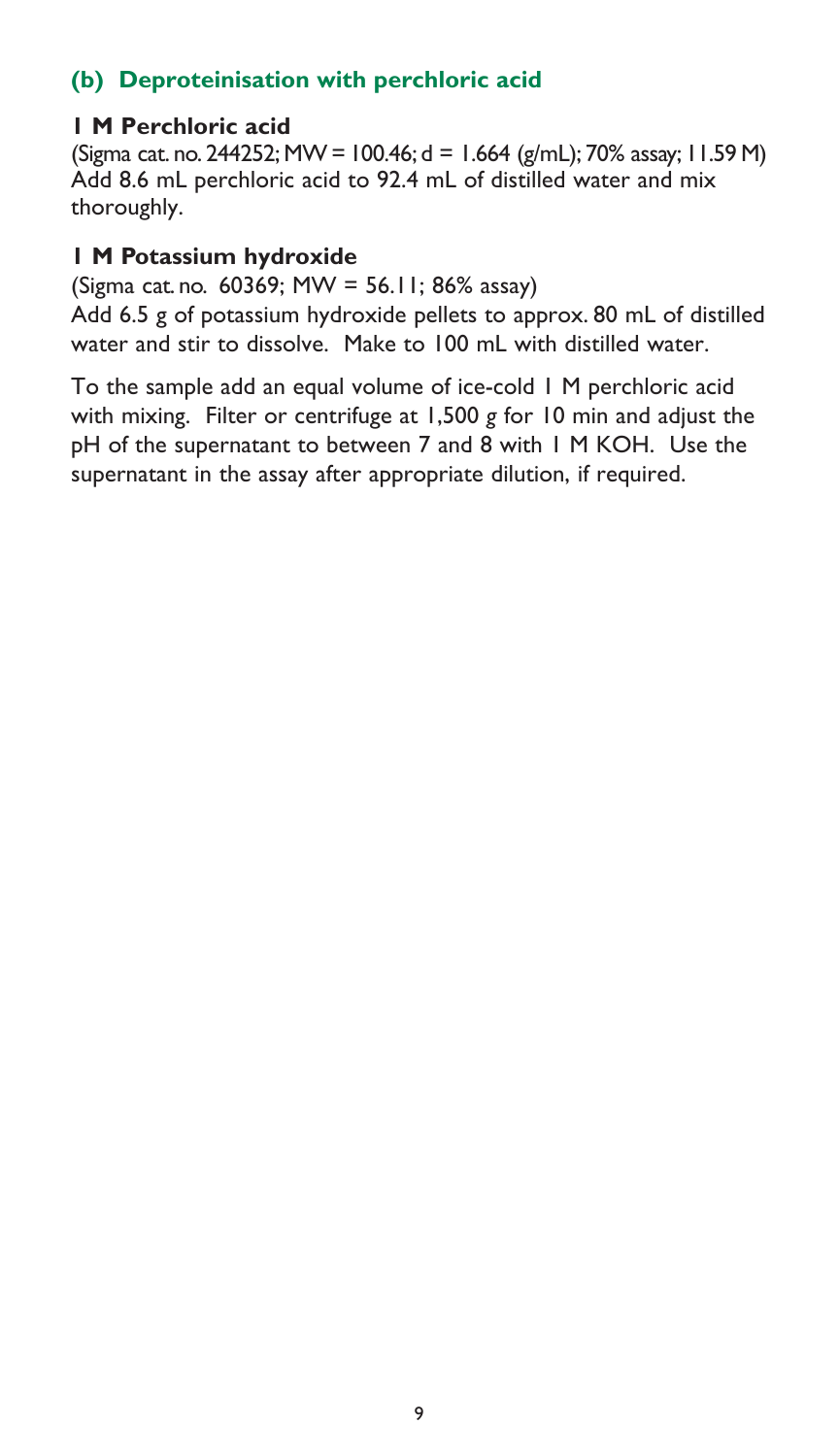# **(b) Deproteinisation with perchloric acid**

## **1 M Perchloric acid**

(Sigma cat. no. 244252; MW = 100.46; d = 1.664 (g/mL); 70% assay; 11.59 M) Add 8.6 mL perchloric acid to 92.4 mL of distilled water and mix thoroughly.

#### **1 M Potassium hydroxide**

(Sigma cat. no. 60369; MW = 56.11; 86% assay)

Add 6.5 g of potassium hydroxide pellets to approx. 80 mL of distilled water and stir to dissolve. Make to 100 mL with distilled water.

To the sample add an equal volume of ice-cold 1 M perchloric acid with mixing. Filter or centrifuge at 1,500 *g* for 10 min and adjust the pH of the supernatant to between 7 and 8 with 1 M KOH. Use the supernatant in the assay after appropriate dilution, if required.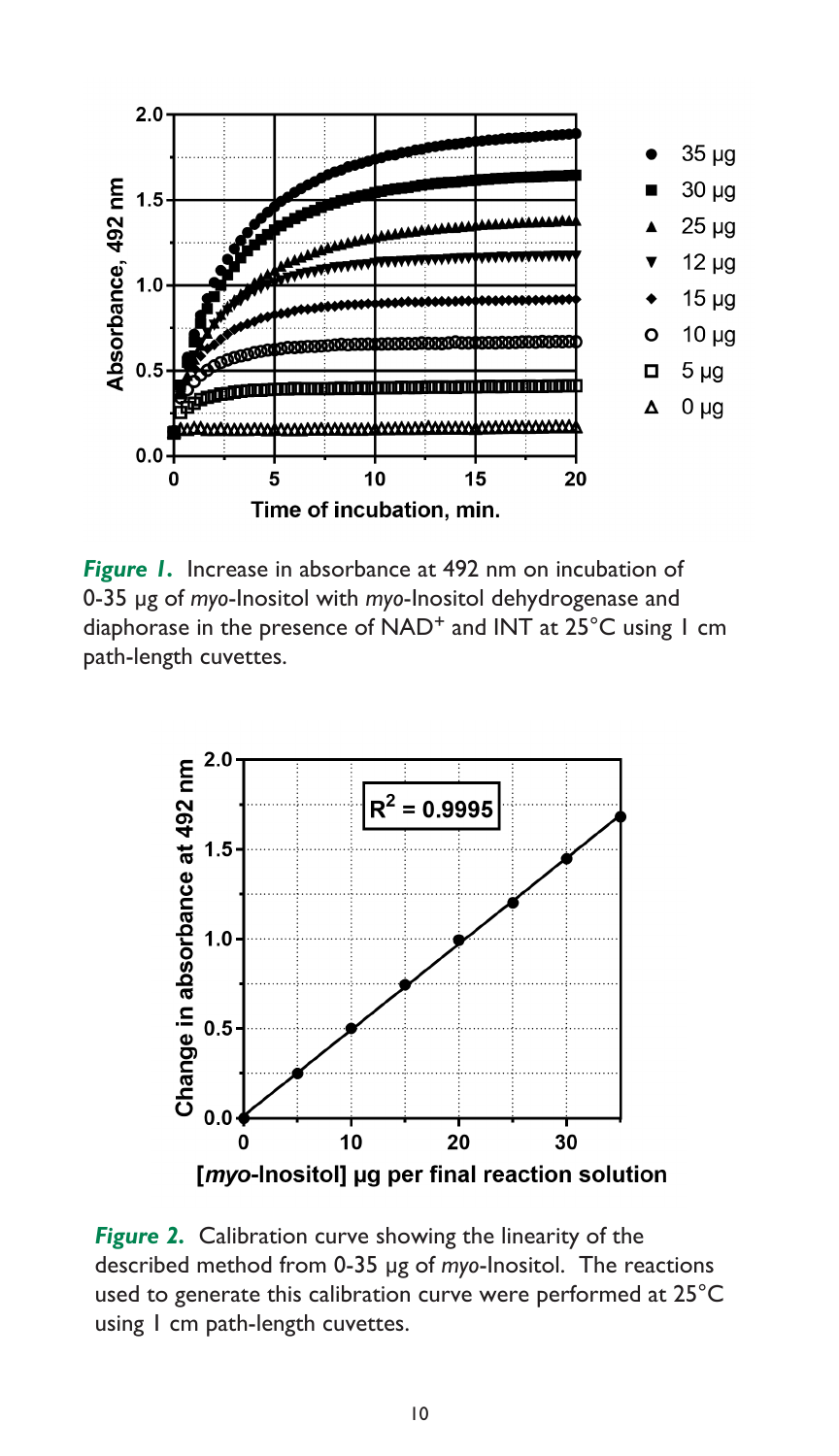

*Figure 1.* Increase in absorbance at 492 nm on incubation of 0-35 µg of *myo*-Inositol with *myo*-Inositol dehydrogenase and diaphorase in the presence of NAD<sup>+</sup> and INT at 25°C using 1 cm path-length cuvettes.



*Figure 2.* Calibration curve showing the linearity of the described method from 0-35 µg of *myo*-Inositol. The reactions used to generate this calibration curve were performed at 25°C using 1 cm path-length cuvettes.